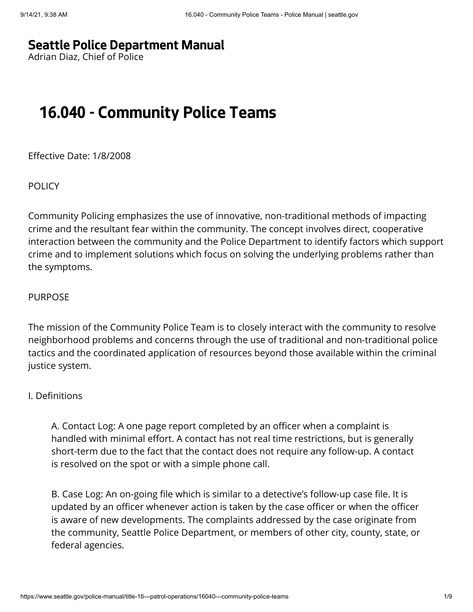# **[Seattle Police Department Manual](https://www.seattle.gov/police-manual)**

Adrian Diaz, Chief of Police

# **16.040 - Community Police Teams**

Effective Date: 1/8/2008

**POLICY** 

Community Policing emphasizes the use of innovative, non-traditional methods of impacting crime and the resultant fear within the community. The concept involves direct, cooperative interaction between the community and the Police Department to identify factors which support crime and to implement solutions which focus on solving the underlying problems rather than the symptoms.

#### PURPOSE

The mission of the Community Police Team is to closely interact with the community to resolve neighborhood problems and concerns through the use of traditional and non-traditional police tactics and the coordinated application of resources beyond those available within the criminal justice system.

### I. Definitions

A. Contact Log: A one page report completed by an officer when a complaint is handled with minimal effort. A contact has not real time restrictions, but is generally short-term due to the fact that the contact does not require any follow-up. A contact is resolved on the spot or with a simple phone call.

B. Case Log: An on-going file which is similar to a detective's follow-up case file. It is updated by an officer whenever action is taken by the case officer or when the officer is aware of new developments. The complaints addressed by the case originate from the community, Seattle Police Department, or members of other city, county, state, or federal agencies.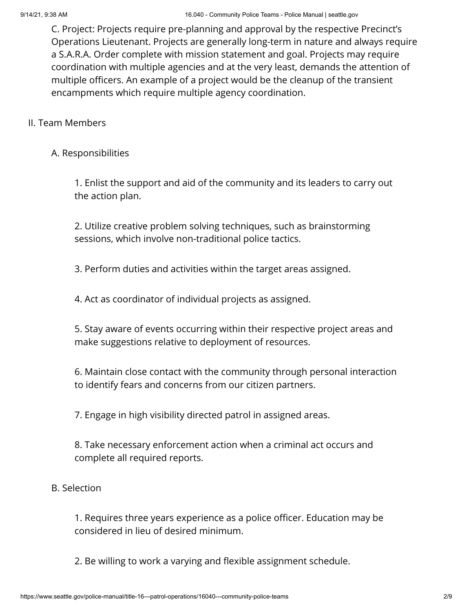C. Project: Projects require pre-planning and approval by the respective Precinct's Operations Lieutenant. Projects are generally long-term in nature and always require a S.A.R.A. Order complete with mission statement and goal. Projects may require coordination with multiple agencies and at the very least, demands the attention of multiple officers. An example of a project would be the cleanup of the transient encampments which require multiple agency coordination.

# II. Team Members

# A. Responsibilities

1. Enlist the support and aid of the community and its leaders to carry out the action plan.

2. Utilize creative problem solving techniques, such as brainstorming sessions, which involve non-traditional police tactics.

3. Perform duties and activities within the target areas assigned.

4. Act as coordinator of individual projects as assigned.

5. Stay aware of events occurring within their respective project areas and make suggestions relative to deployment of resources.

6. Maintain close contact with the community through personal interaction to identify fears and concerns from our citizen partners.

7. Engage in high visibility directed patrol in assigned areas.

8. Take necessary enforcement action when a criminal act occurs and complete all required reports.

### B. Selection

1. Requires three years experience as a police officer. Education may be considered in lieu of desired minimum.

2. Be willing to work a varying and flexible assignment schedule.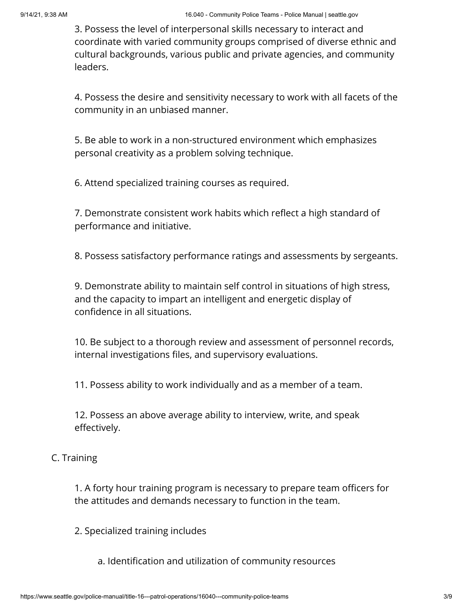3. Possess the level of interpersonal skills necessary to interact and coordinate with varied community groups comprised of diverse ethnic and cultural backgrounds, various public and private agencies, and community leaders.

4. Possess the desire and sensitivity necessary to work with all facets of the community in an unbiased manner.

5. Be able to work in a non-structured environment which emphasizes personal creativity as a problem solving technique.

6. Attend specialized training courses as required.

7. Demonstrate consistent work habits which reflect a high standard of performance and initiative.

8. Possess satisfactory performance ratings and assessments by sergeants.

9. Demonstrate ability to maintain self control in situations of high stress, and the capacity to impart an intelligent and energetic display of confidence in all situations.

10. Be subject to a thorough review and assessment of personnel records, internal investigations files, and supervisory evaluations.

11. Possess ability to work individually and as a member of a team.

12. Possess an above average ability to interview, write, and speak effectively.

### C. Training

1. A forty hour training program is necessary to prepare team officers for the attitudes and demands necessary to function in the team.

2. Specialized training includes

a. Identification and utilization of community resources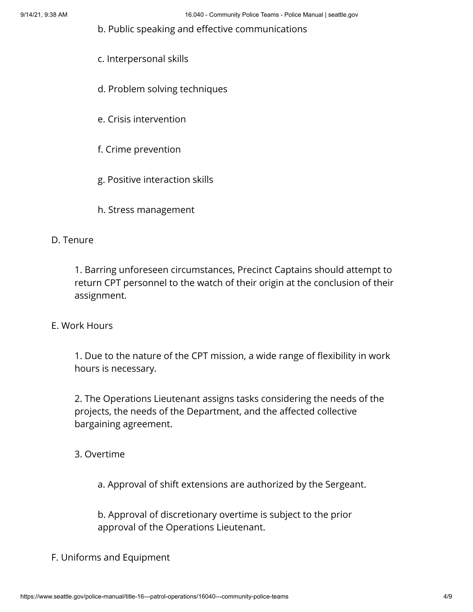b. Public speaking and effective communications

- c. Interpersonal skills
- d. Problem solving techniques
- e. Crisis intervention
- f. Crime prevention
- g. Positive interaction skills
- h. Stress management

### D. Tenure

1. Barring unforeseen circumstances, Precinct Captains should attempt to return CPT personnel to the watch of their origin at the conclusion of their assignment.

#### E. Work Hours

1. Due to the nature of the CPT mission, a wide range of flexibility in work hours is necessary.

2. The Operations Lieutenant assigns tasks considering the needs of the projects, the needs of the Department, and the affected collective bargaining agreement.

3. Overtime

a. Approval of shift extensions are authorized by the Sergeant.

b. Approval of discretionary overtime is subject to the prior approval of the Operations Lieutenant.

#### F. Uniforms and Equipment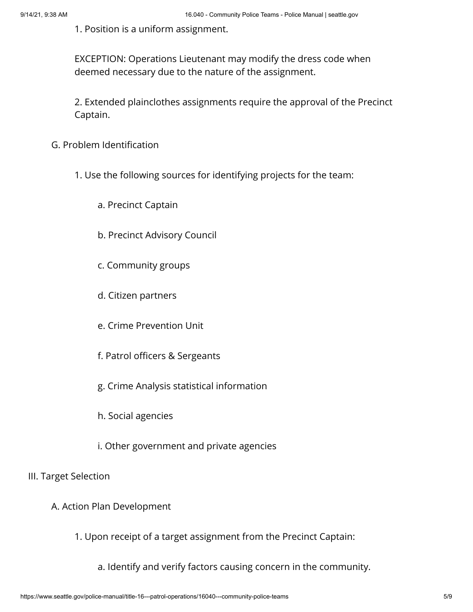1. Position is a uniform assignment.

EXCEPTION: Operations Lieutenant may modify the dress code when deemed necessary due to the nature of the assignment.

2. Extended plainclothes assignments require the approval of the Precinct Captain.

- G. Problem Identification
	- 1. Use the following sources for identifying projects for the team:
		- a. Precinct Captain
		- b. Precinct Advisory Council
		- c. Community groups
		- d. Citizen partners
		- e. Crime Prevention Unit
		- f. Patrol officers & Sergeants
		- g. Crime Analysis statistical information
		- h. Social agencies
		- i. Other government and private agencies

#### III. Target Selection

- A. Action Plan Development
	- 1. Upon receipt of a target assignment from the Precinct Captain:
		- a. Identify and verify factors causing concern in the community.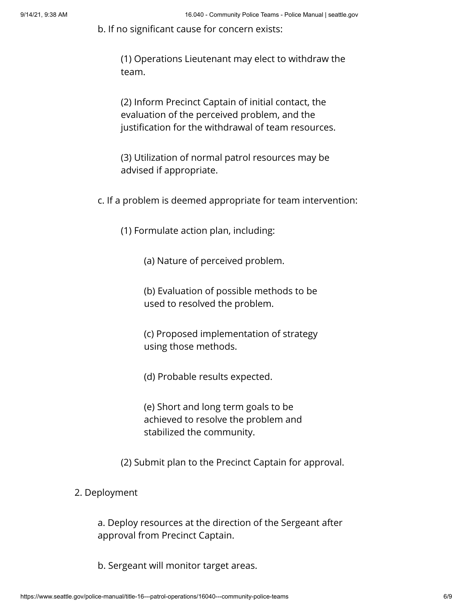b. If no significant cause for concern exists:

(1) Operations Lieutenant may elect to withdraw the team.

(2) Inform Precinct Captain of initial contact, the evaluation of the perceived problem, and the justification for the withdrawal of team resources.

(3) Utilization of normal patrol resources may be advised if appropriate.

c. If a problem is deemed appropriate for team intervention:

(1) Formulate action plan, including:

(a) Nature of perceived problem.

(b) Evaluation of possible methods to be used to resolved the problem.

(c) Proposed implementation of strategy using those methods.

(d) Probable results expected.

(e) Short and long term goals to be achieved to resolve the problem and stabilized the community.

(2) Submit plan to the Precinct Captain for approval.

2. Deployment

a. Deploy resources at the direction of the Sergeant after approval from Precinct Captain.

b. Sergeant will monitor target areas.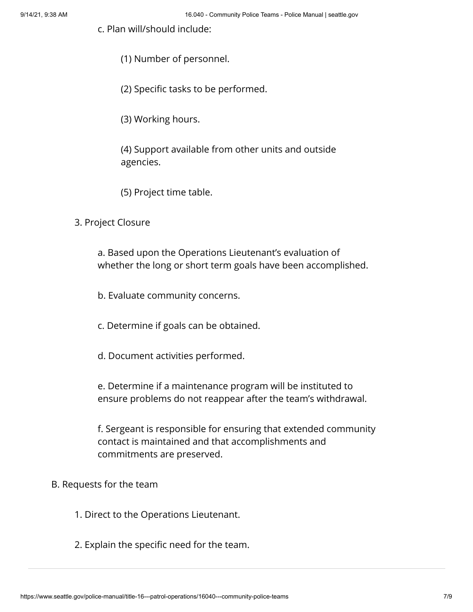c. Plan will/should include:

- (1) Number of personnel.
- (2) Specific tasks to be performed.
- (3) Working hours.

(4) Support available from other units and outside agencies.

(5) Project time table.

3. Project Closure

a. Based upon the Operations Lieutenant's evaluation of whether the long or short term goals have been accomplished.

b. Evaluate community concerns.

c. Determine if goals can be obtained.

d. Document activities performed.

e. Determine if a maintenance program will be instituted to ensure problems do not reappear after the team's withdrawal.

f. Sergeant is responsible for ensuring that extended community contact is maintained and that accomplishments and commitments are preserved.

#### B. Requests for the team

- 1. Direct to the Operations Lieutenant.
- 2. Explain the specific need for the team.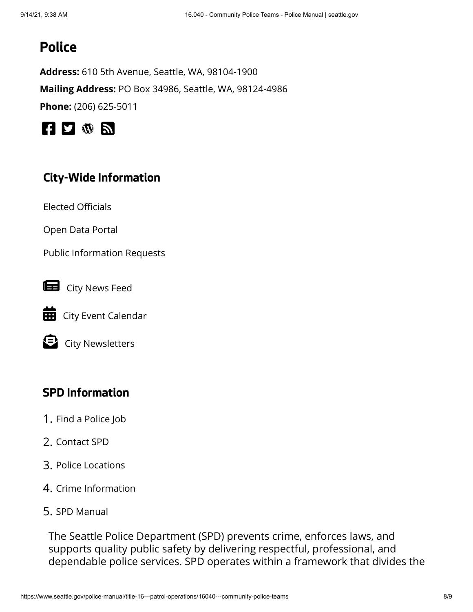# **Police**

**Address:** [610 5th Avenue, Seattle, WA, 98104-1900](https://www.google.com/maps/place/610%205th%20Avenue,%20Seattle,%20WA,%2098104-1900) **Mailing Address:** PO Box 34986, Seattle, WA, 98124-4986 **Phone:** (206) 625-5011



# **City-Wide Information**

[Elected Officials](https://www.seattle.gov/elected-officials)

[Open Data Portal](https://data.seattle.gov/)

[Public Information Requests](https://www.seattle.gov/public-records)



**EE** [City Event Calendar](https://www.seattle.gov/event-calendar)

[City Newsletters](https://public.govdelivery.com/accounts/WASEATTLE/subscriber/topics?qsp=CODE_RED)

# **SPD Information**

- 1. [Find a Police Job](http://www.seattle.gov/police/police-jobs)
- 2. [Contact SPD](http://www.seattle.gov/police/about-us/contact-us)
- 3. [Police Locations](http://www.seattle.gov/police/about-us/police-locations)
- 4. [Crime Information](http://www.seattle.gov/police/information-and-data)
- 5. [SPD Manual](http://www.seattle.gov/police-manual)

The Seattle Police Department (SPD) prevents crime, enforces laws, and supports quality public safety by delivering respectful, professional, and dependable police services. SPD operates within a framework that divides the